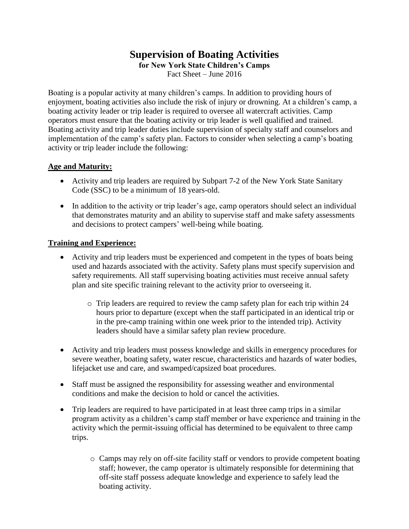## **Supervision of Boating Activities**

**for New York State Children's Camps**

Fact Sheet – June 2016

Boating is a popular activity at many children's camps. In addition to providing hours of enjoyment, boating activities also include the risk of injury or drowning. At a children's camp, a boating activity leader or trip leader is required to oversee all watercraft activities. Camp operators must ensure that the boating activity or trip leader is well qualified and trained. Boating activity and trip leader duties include supervision of specialty staff and counselors and implementation of the camp's safety plan. Factors to consider when selecting a camp's boating activity or trip leader include the following:

## **Age and Maturity:**

- Activity and trip leaders are required by Subpart 7-2 of the New York State Sanitary Code (SSC) to be a minimum of 18 years-old.
- In addition to the activity or trip leader's age, camp operators should select an individual that demonstrates maturity and an ability to supervise staff and make safety assessments and decisions to protect campers' well-being while boating.

## **Training and Experience:**

- Activity and trip leaders must be experienced and competent in the types of boats being used and hazards associated with the activity. Safety plans must specify supervision and safety requirements. All staff supervising boating activities must receive annual safety plan and site specific training relevant to the activity prior to overseeing it.
	- $\circ$  Trip leaders are required to review the camp safety plan for each trip within 24 hours prior to departure (except when the staff participated in an identical trip or in the pre-camp training within one week prior to the intended trip). Activity leaders should have a similar safety plan review procedure.
- Activity and trip leaders must possess knowledge and skills in emergency procedures for severe weather, boating safety, water rescue, characteristics and hazards of water bodies, lifejacket use and care, and swamped/capsized boat procedures.
- Staff must be assigned the responsibility for assessing weather and environmental conditions and make the decision to hold or cancel the activities.
- Trip leaders are required to have participated in at least three camp trips in a similar program activity as a children's camp staff member or have experience and training in the activity which the permit-issuing official has determined to be equivalent to three camp trips.
	- o Camps may rely on off-site facility staff or vendors to provide competent boating staff; however, the camp operator is ultimately responsible for determining that off-site staff possess adequate knowledge and experience to safely lead the boating activity.